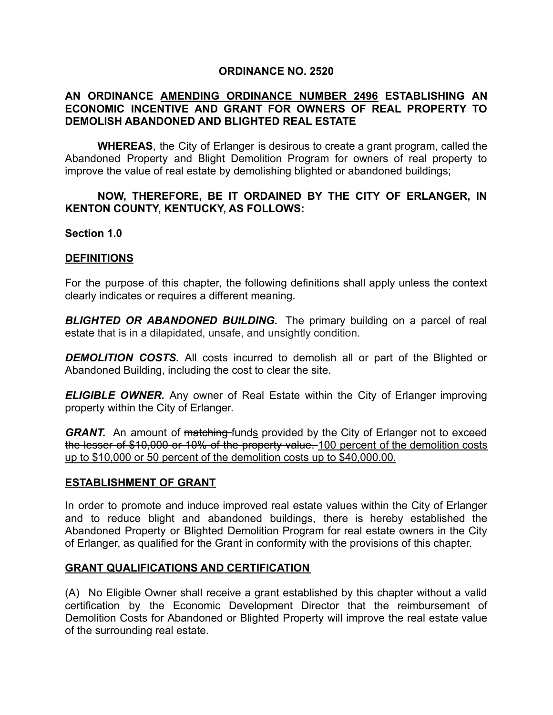### **ORDINANCE NO. 2520**

## **AN ORDINANCE AMENDING ORDINANCE NUMBER 2496 ESTABLISHING AN ECONOMIC INCENTIVE AND GRANT FOR OWNERS OF REAL PROPERTY TO DEMOLISH ABANDONED AND BLIGHTED REAL ESTATE**

**WHEREAS**, the City of Erlanger is desirous to create a grant program, called the Abandoned Property and Blight Demolition Program for owners of real property to improve the value of real estate by demolishing blighted or abandoned buildings;

### **NOW, THEREFORE, BE IT ORDAINED BY THE CITY OF ERLANGER, IN KENTON COUNTY, KENTUCKY, AS FOLLOWS:**

#### **Section 1.0**

### **DEFINITIONS**

For the purpose of this chapter, the following definitions shall apply unless the context clearly indicates or requires a different meaning.

*BLIGHTED OR ABANDONED BUILDING.* The primary building on a parcel of real estate that is in a dilapidated, unsafe, and unsightly condition.

*DEMOLITION COSTS.* All costs incurred to demolish all or part of the Blighted or Abandoned Building, including the cost to clear the site.

*ELIGIBLE OWNER.* Any owner of Real Estate within the City of Erlanger improving property within the City of Erlanger.

**GRANT.** An amount of matching-funds provided by the City of Erlanger not to exceed the lesser of \$10,000 or 10% of the property value. 100 percent of the demolition costs up to \$10,000 or 50 percent of the demolition costs up to \$40,000.00.

#### **ESTABLISHMENT OF GRANT**

In order to promote and induce improved real estate values within the City of Erlanger and to reduce blight and abandoned buildings, there is hereby established the Abandoned Property or Blighted Demolition Program for real estate owners in the City of Erlanger, as qualified for the Grant in conformity with the provisions of this chapter.

### **GRANT QUALIFICATIONS AND CERTIFICATION**

(A) No Eligible Owner shall receive a grant established by this chapter without a valid certification by the Economic Development Director that the reimbursement of Demolition Costs for Abandoned or Blighted Property will improve the real estate value of the surrounding real estate.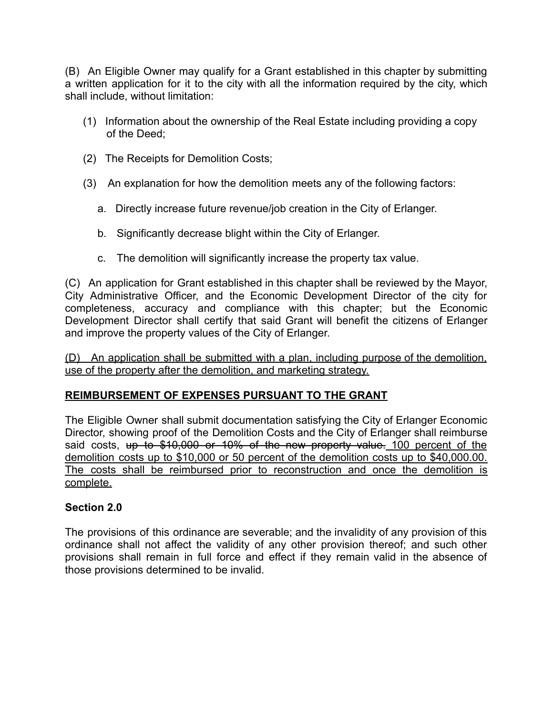(B) An Eligible Owner may qualify for a Grant established in this chapter by submitting a written application for it to the city with all the information required by the city, which shall include, without limitation:

- (1) Information about the ownership of the Real Estate including providing a copy of the Deed;
- (2) The Receipts for Demolition Costs;
- (3) An explanation for how the demolition meets any of the following factors:
	- a. Directly increase future revenue/job creation in the City of Erlanger.
	- b. Significantly decrease blight within the City of Erlanger.
	- c. The demolition will significantly increase the property tax value.

(C) An application for Grant established in this chapter shall be reviewed by the Mayor, City Administrative Officer, and the Economic Development Director of the city for completeness, accuracy and compliance with this chapter; but the Economic Development Director shall certify that said Grant will benefit the citizens of Erlanger and improve the property values of the City of Erlanger.

(D) An application shall be submitted with a plan, including purpose of the demolition, use of the property after the demolition, and marketing strategy.

# **REIMBURSEMENT OF EXPENSES PURSUANT TO THE GRANT**

The Eligible Owner shall submit documentation satisfying the City of Erlanger Economic Director, showing proof of the Demolition Costs and the City of Erlanger shall reimburse said costs, up to \$10,000 or 10% of the new property value. 100 percent of the demolition costs up to \$10,000 or 50 percent of the demolition costs up to \$40,000.00. The costs shall be reimbursed prior to reconstruction and once the demolition is complete.

# **Section 2.0**

The provisions of this ordinance are severable; and the invalidity of any provision of this ordinance shall not affect the validity of any other provision thereof; and such other provisions shall remain in full force and effect if they remain valid in the absence of those provisions determined to be invalid.